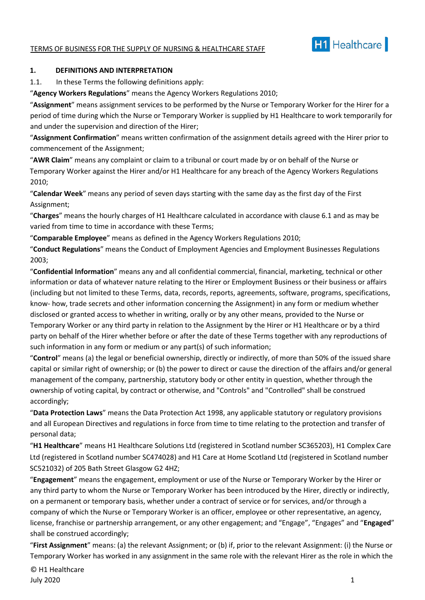#### TERMS OF BUSINESS FOR THE SUPPLY OF NURSING & HEALTHCARE STAFF



#### **1. DEFINITIONS AND INTERPRETATION**

1.1. In these Terms the following definitions apply:

"**Agency Workers Regulations**" means the Agency Workers Regulations 2010;

"**Assignment**" means assignment services to be performed by the Nurse or Temporary Worker for the Hirer for a period of time during which the Nurse or Temporary Worker is supplied by H1 Healthcare to work temporarily for and under the supervision and direction of the Hirer;

"**Assignment Confirmation**" means written confirmation of the assignment details agreed with the Hirer prior to commencement of the Assignment;

"**AWR Claim**" means any complaint or claim to a tribunal or court made by or on behalf of the Nurse or Temporary Worker against the Hirer and/or H1 Healthcare for any breach of the Agency Workers Regulations 2010;

"**Calendar Week**" means any period of seven days starting with the same day as the first day of the First Assignment;

"**Charges**" means the hourly charges of H1 Healthcare calculated in accordance with clause 6.1 and as may be varied from time to time in accordance with these Terms;

"**Comparable Employee**" means as defined in the Agency Workers Regulations 2010;

"**Conduct Regulations**" means the Conduct of Employment Agencies and Employment Businesses Regulations 2003;

"**Confidential Information**" means any and all confidential commercial, financial, marketing, technical or other information or data of whatever nature relating to the Hirer or Employment Business or their business or affairs (including but not limited to these Terms, data, records, reports, agreements, software, programs, specifications, know- how, trade secrets and other information concerning the Assignment) in any form or medium whether disclosed or granted access to whether in writing, orally or by any other means, provided to the Nurse or Temporary Worker or any third party in relation to the Assignment by the Hirer or H1 Healthcare or by a third party on behalf of the Hirer whether before or after the date of these Terms together with any reproductions of such information in any form or medium or any part(s) of such information;

"**Control**" means (a) the legal or beneficial ownership, directly or indirectly, of more than 50% of the issued share capital or similar right of ownership; or (b) the power to direct or cause the direction of the affairs and/or general management of the company, partnership, statutory body or other entity in question, whether through the ownership of voting capital, by contract or otherwise, and "Controls" and "Controlled" shall be construed accordingly;

"**Data Protection Laws**" means the Data Protection Act 1998, any applicable statutory or regulatory provisions and all European Directives and regulations in force from time to time relating to the protection and transfer of personal data;

"**H1 Healthcare**" means H1 Healthcare Solutions Ltd (registered in Scotland number SC365203), H1 Complex Care Ltd (registered in Scotland number SC474028) and H1 Care at Home Scotland Ltd (registered in Scotland number SC521032) of 205 Bath Street Glasgow G2 4HZ;

"**Engagement**" means the engagement, employment or use of the Nurse or Temporary Worker by the Hirer or any third party to whom the Nurse or Temporary Worker has been introduced by the Hirer, directly or indirectly, on a permanent or temporary basis, whether under a contract of service or for services, and/or through a company of which the Nurse or Temporary Worker is an officer, employee or other representative, an agency, license, franchise or partnership arrangement, or any other engagement; and "Engage", "Engages" and "**Engaged**" shall be construed accordingly;

"**First Assignment**" means: (a) the relevant Assignment; or (b) if, prior to the relevant Assignment: (i) the Nurse or Temporary Worker has worked in any assignment in the same role with the relevant Hirer as the role in which the

© H1 Healthcare July 2020 1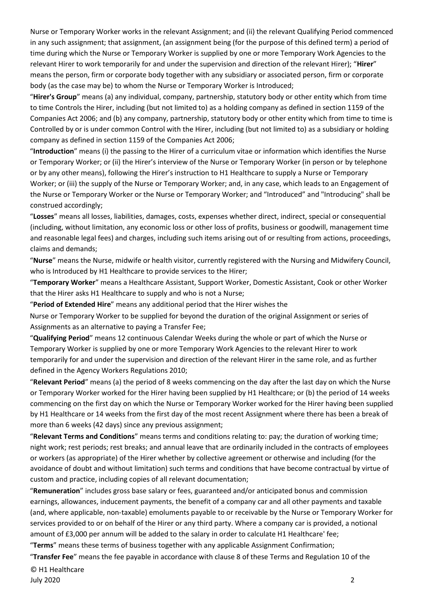Nurse or Temporary Worker works in the relevant Assignment; and (ii) the relevant Qualifying Period commenced in any such assignment; that assignment, (an assignment being (for the purpose of this defined term) a period of time during which the Nurse or Temporary Worker is supplied by one or more Temporary Work Agencies to the relevant Hirer to work temporarily for and under the supervision and direction of the relevant Hirer); "**Hirer**" means the person, firm or corporate body together with any subsidiary or associated person, firm or corporate body (as the case may be) to whom the Nurse or Temporary Worker is Introduced;

"**Hirer's Group**" means (a) any individual, company, partnership, statutory body or other entity which from time to time Controls the Hirer, including (but not limited to) as a holding company as defined in section 1159 of the Companies Act 2006; and (b) any company, partnership, statutory body or other entity which from time to time is Controlled by or is under common Control with the Hirer, including (but not limited to) as a subsidiary or holding company as defined in section 1159 of the Companies Act 2006;

"**Introduction**" means (i) the passing to the Hirer of a curriculum vitae or information which identifies the Nurse or Temporary Worker; or (ii) the Hirer's interview of the Nurse or Temporary Worker (in person or by telephone or by any other means), following the Hirer's instruction to H1 Healthcare to supply a Nurse or Temporary Worker; or (iii) the supply of the Nurse or Temporary Worker; and, in any case, which leads to an Engagement of the Nurse or Temporary Worker or the Nurse or Temporary Worker; and "Introduced" and "Introducing" shall be construed accordingly;

"**Losses**" means all losses, liabilities, damages, costs, expenses whether direct, indirect, special or consequential (including, without limitation, any economic loss or other loss of profits, business or goodwill, management time and reasonable legal fees) and charges, including such items arising out of or resulting from actions, proceedings, claims and demands;

"**Nurse**" means the Nurse, midwife or health visitor, currently registered with the Nursing and Midwifery Council, who is Introduced by H1 Healthcare to provide services to the Hirer;

"**Temporary Worker**" means a Healthcare Assistant, Support Worker, Domestic Assistant, Cook or other Worker that the Hirer asks H1 Healthcare to supply and who is not a Nurse;

"**Period of Extended Hire**" means any additional period that the Hirer wishes the

Nurse or Temporary Worker to be supplied for beyond the duration of the original Assignment or series of Assignments as an alternative to paying a Transfer Fee;

"**Qualifying Period**" means 12 continuous Calendar Weeks during the whole or part of which the Nurse or Temporary Worker is supplied by one or more Temporary Work Agencies to the relevant Hirer to work temporarily for and under the supervision and direction of the relevant Hirer in the same role, and as further defined in the Agency Workers Regulations 2010;

"**Relevant Period**" means (a) the period of 8 weeks commencing on the day after the last day on which the Nurse or Temporary Worker worked for the Hirer having been supplied by H1 Healthcare; or (b) the period of 14 weeks commencing on the first day on which the Nurse or Temporary Worker worked for the Hirer having been supplied by H1 Healthcare or 14 weeks from the first day of the most recent Assignment where there has been a break of more than 6 weeks (42 days) since any previous assignment;

"**Relevant Terms and Conditions**" means terms and conditions relating to: pay; the duration of working time; night work; rest periods; rest breaks; and annual leave that are ordinarily included in the contracts of employees or workers (as appropriate) of the Hirer whether by collective agreement or otherwise and including (for the avoidance of doubt and without limitation) such terms and conditions that have become contractual by virtue of custom and practice, including copies of all relevant documentation;

"**Remuneration**" includes gross base salary or fees, guaranteed and/or anticipated bonus and commission earnings, allowances, inducement payments, the benefit of a company car and all other payments and taxable (and, where applicable, non-taxable) emoluments payable to or receivable by the Nurse or Temporary Worker for services provided to or on behalf of the Hirer or any third party. Where a company car is provided, a notional amount of £3,000 per annum will be added to the salary in order to calculate H1 Healthcare' fee;

"**Terms**" means these terms of business together with any applicable Assignment Confirmation;

"**Transfer Fee**" means the fee payable in accordance with clause 8 of these Terms and Regulation 10 of the

© H1 Healthcare July 2020 2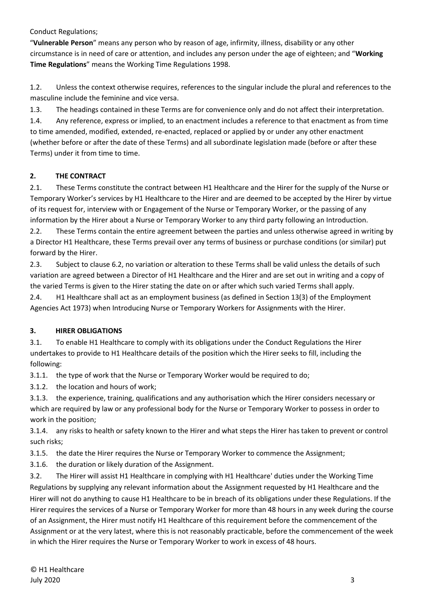Conduct Regulations;

"**Vulnerable Person**" means any person who by reason of age, infirmity, illness, disability or any other circumstance is in need of care or attention, and includes any person under the age of eighteen; and "**Working Time Regulations**" means the Working Time Regulations 1998.

1.2. Unless the context otherwise requires, references to the singular include the plural and references to the masculine include the feminine and vice versa.

1.3. The headings contained in these Terms are for convenience only and do not affect their interpretation.

1.4. Any reference, express or implied, to an enactment includes a reference to that enactment as from time to time amended, modified, extended, re-enacted, replaced or applied by or under any other enactment (whether before or after the date of these Terms) and all subordinate legislation made (before or after these Terms) under it from time to time.

## **2. THE CONTRACT**

2.1. These Terms constitute the contract between H1 Healthcare and the Hirer for the supply of the Nurse or Temporary Worker's services by H1 Healthcare to the Hirer and are deemed to be accepted by the Hirer by virtue of its request for, interview with or Engagement of the Nurse or Temporary Worker, or the passing of any information by the Hirer about a Nurse or Temporary Worker to any third party following an Introduction.

2.2. These Terms contain the entire agreement between the parties and unless otherwise agreed in writing by a Director H1 Healthcare, these Terms prevail over any terms of business or purchase conditions (or similar) put forward by the Hirer.

2.3. Subject to clause 6.2, no variation or alteration to these Terms shall be valid unless the details of such variation are agreed between a Director of H1 Healthcare and the Hirer and are set out in writing and a copy of the varied Terms is given to the Hirer stating the date on or after which such varied Terms shall apply.

2.4. H1 Healthcare shall act as an employment business (as defined in Section 13(3) of the Employment Agencies Act 1973) when Introducing Nurse or Temporary Workers for Assignments with the Hirer.

## **3. HIRER OBLIGATIONS**

3.1. To enable H1 Healthcare to comply with its obligations under the Conduct Regulations the Hirer undertakes to provide to H1 Healthcare details of the position which the Hirer seeks to fill, including the following:

3.1.1. the type of work that the Nurse or Temporary Worker would be required to do;

3.1.2. the location and hours of work;

3.1.3. the experience, training, qualifications and any authorisation which the Hirer considers necessary or which are required by law or any professional body for the Nurse or Temporary Worker to possess in order to work in the position;

3.1.4. any risks to health or safety known to the Hirer and what steps the Hirer has taken to prevent or control such risks;

3.1.5. the date the Hirer requires the Nurse or Temporary Worker to commence the Assignment;

3.1.6. the duration or likely duration of the Assignment.

3.2. The Hirer will assist H1 Healthcare in complying with H1 Healthcare' duties under the Working Time Regulations by supplying any relevant information about the Assignment requested by H1 Healthcare and the Hirer will not do anything to cause H1 Healthcare to be in breach of its obligations under these Regulations. If the Hirer requires the services of a Nurse or Temporary Worker for more than 48 hours in any week during the course of an Assignment, the Hirer must notify H1 Healthcare of this requirement before the commencement of the Assignment or at the very latest, where this is not reasonably practicable, before the commencement of the week in which the Hirer requires the Nurse or Temporary Worker to work in excess of 48 hours.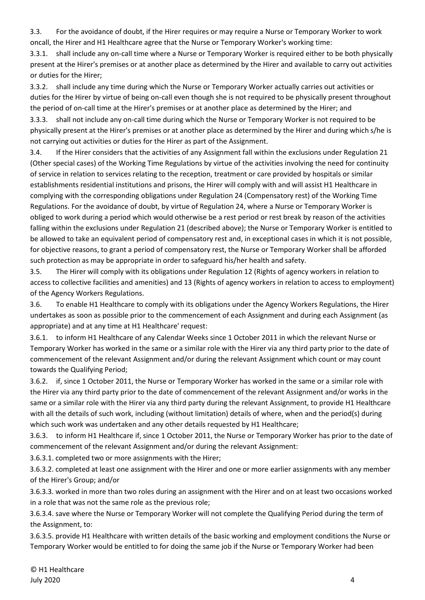3.3. For the avoidance of doubt, if the Hirer requires or may require a Nurse or Temporary Worker to work oncall, the Hirer and H1 Healthcare agree that the Nurse or Temporary Worker's working time:

3.3.1. shall include any on-call time where a Nurse or Temporary Worker is required either to be both physically present at the Hirer's premises or at another place as determined by the Hirer and available to carry out activities or duties for the Hirer;

3.3.2. shall include any time during which the Nurse or Temporary Worker actually carries out activities or duties for the Hirer by virtue of being on-call even though she is not required to be physically present throughout the period of on-call time at the Hirer's premises or at another place as determined by the Hirer; and

3.3.3. shall not include any on-call time during which the Nurse or Temporary Worker is not required to be physically present at the Hirer's premises or at another place as determined by the Hirer and during which s/he is not carrying out activities or duties for the Hirer as part of the Assignment.

3.4. If the Hirer considers that the activities of any Assignment fall within the exclusions under Regulation 21 (Other special cases) of the Working Time Regulations by virtue of the activities involving the need for continuity of service in relation to services relating to the reception, treatment or care provided by hospitals or similar establishments residential institutions and prisons, the Hirer will comply with and will assist H1 Healthcare in complying with the corresponding obligations under Regulation 24 (Compensatory rest) of the Working Time Regulations. For the avoidance of doubt, by virtue of Regulation 24, where a Nurse or Temporary Worker is obliged to work during a period which would otherwise be a rest period or rest break by reason of the activities falling within the exclusions under Regulation 21 (described above); the Nurse or Temporary Worker is entitled to be allowed to take an equivalent period of compensatory rest and, in exceptional cases in which it is not possible, for objective reasons, to grant a period of compensatory rest, the Nurse or Temporary Worker shall be afforded such protection as may be appropriate in order to safeguard his/her health and safety.

3.5. The Hirer will comply with its obligations under Regulation 12 (Rights of agency workers in relation to access to collective facilities and amenities) and 13 (Rights of agency workers in relation to access to employment) of the Agency Workers Regulations.

3.6. To enable H1 Healthcare to comply with its obligations under the Agency Workers Regulations, the Hirer undertakes as soon as possible prior to the commencement of each Assignment and during each Assignment (as appropriate) and at any time at H1 Healthcare' request:

3.6.1. to inform H1 Healthcare of any Calendar Weeks since 1 October 2011 in which the relevant Nurse or Temporary Worker has worked in the same or a similar role with the Hirer via any third party prior to the date of commencement of the relevant Assignment and/or during the relevant Assignment which count or may count towards the Qualifying Period;

3.6.2. if, since 1 October 2011, the Nurse or Temporary Worker has worked in the same or a similar role with the Hirer via any third party prior to the date of commencement of the relevant Assignment and/or works in the same or a similar role with the Hirer via any third party during the relevant Assignment, to provide H1 Healthcare with all the details of such work, including (without limitation) details of where, when and the period(s) during which such work was undertaken and any other details requested by H1 Healthcare;

3.6.3. to inform H1 Healthcare if, since 1 October 2011, the Nurse or Temporary Worker has prior to the date of commencement of the relevant Assignment and/or during the relevant Assignment:

3.6.3.1. completed two or more assignments with the Hirer;

3.6.3.2. completed at least one assignment with the Hirer and one or more earlier assignments with any member of the Hirer's Group; and/or

3.6.3.3. worked in more than two roles during an assignment with the Hirer and on at least two occasions worked in a role that was not the same role as the previous role;

3.6.3.4. save where the Nurse or Temporary Worker will not complete the Qualifying Period during the term of the Assignment, to:

3.6.3.5. provide H1 Healthcare with written details of the basic working and employment conditions the Nurse or Temporary Worker would be entitled to for doing the same job if the Nurse or Temporary Worker had been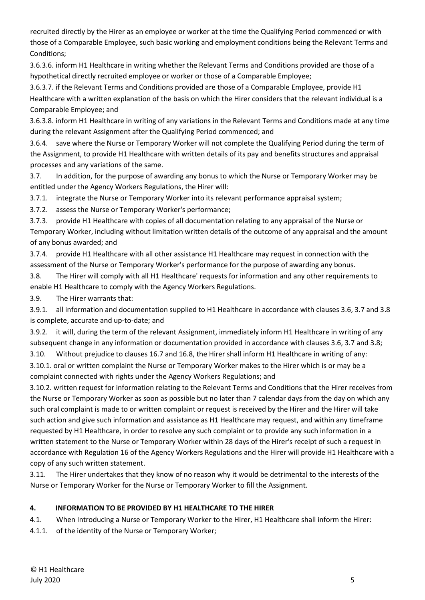recruited directly by the Hirer as an employee or worker at the time the Qualifying Period commenced or with those of a Comparable Employee, such basic working and employment conditions being the Relevant Terms and Conditions;

3.6.3.6. inform H1 Healthcare in writing whether the Relevant Terms and Conditions provided are those of a hypothetical directly recruited employee or worker or those of a Comparable Employee;

3.6.3.7. if the Relevant Terms and Conditions provided are those of a Comparable Employee, provide H1 Healthcare with a written explanation of the basis on which the Hirer considers that the relevant individual is a Comparable Employee; and

3.6.3.8. inform H1 Healthcare in writing of any variations in the Relevant Terms and Conditions made at any time during the relevant Assignment after the Qualifying Period commenced; and

3.6.4. save where the Nurse or Temporary Worker will not complete the Qualifying Period during the term of the Assignment, to provide H1 Healthcare with written details of its pay and benefits structures and appraisal processes and any variations of the same.

3.7. In addition, for the purpose of awarding any bonus to which the Nurse or Temporary Worker may be entitled under the Agency Workers Regulations, the Hirer will:

3.7.1. integrate the Nurse or Temporary Worker into its relevant performance appraisal system;

3.7.2. assess the Nurse or Temporary Worker's performance;

3.7.3. provide H1 Healthcare with copies of all documentation relating to any appraisal of the Nurse or Temporary Worker, including without limitation written details of the outcome of any appraisal and the amount of any bonus awarded; and

3.7.4. provide H1 Healthcare with all other assistance H1 Healthcare may request in connection with the assessment of the Nurse or Temporary Worker's performance for the purpose of awarding any bonus.

3.8. The Hirer will comply with all H1 Healthcare' requests for information and any other requirements to enable H1 Healthcare to comply with the Agency Workers Regulations.

3.9. The Hirer warrants that:

3.9.1. all information and documentation supplied to H1 Healthcare in accordance with clauses 3.6, 3.7 and 3.8 is complete, accurate and up-to-date; and

3.9.2. it will, during the term of the relevant Assignment, immediately inform H1 Healthcare in writing of any subsequent change in any information or documentation provided in accordance with clauses 3.6, 3.7 and 3.8;

3.10. Without prejudice to clauses 16.7 and 16.8, the Hirer shall inform H1 Healthcare in writing of any:

3.10.1. oral or written complaint the Nurse or Temporary Worker makes to the Hirer which is or may be a complaint connected with rights under the Agency Workers Regulations; and

3.10.2. written request for information relating to the Relevant Terms and Conditions that the Hirer receives from the Nurse or Temporary Worker as soon as possible but no later than 7 calendar days from the day on which any such oral complaint is made to or written complaint or request is received by the Hirer and the Hirer will take such action and give such information and assistance as H1 Healthcare may request, and within any timeframe requested by H1 Healthcare, in order to resolve any such complaint or to provide any such information in a written statement to the Nurse or Temporary Worker within 28 days of the Hirer's receipt of such a request in accordance with Regulation 16 of the Agency Workers Regulations and the Hirer will provide H1 Healthcare with a copy of any such written statement.

3.11. The Hirer undertakes that they know of no reason why it would be detrimental to the interests of the Nurse or Temporary Worker for the Nurse or Temporary Worker to fill the Assignment.

# **4. INFORMATION TO BE PROVIDED BY H1 HEALTHCARE TO THE HIRER**

4.1. When Introducing a Nurse or Temporary Worker to the Hirer, H1 Healthcare shall inform the Hirer:

4.1.1. of the identity of the Nurse or Temporary Worker;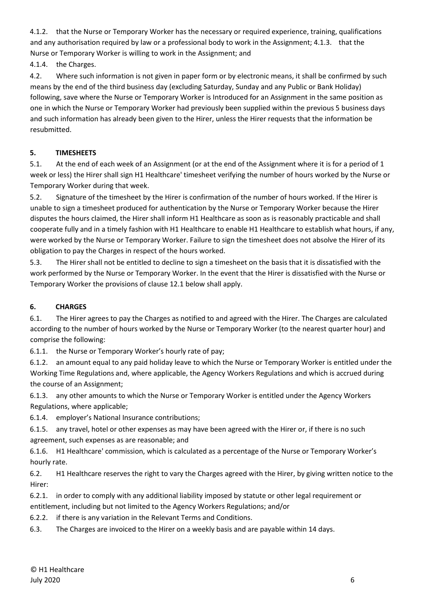4.1.2. that the Nurse or Temporary Worker has the necessary or required experience, training, qualifications and any authorisation required by law or a professional body to work in the Assignment; 4.1.3. that the Nurse or Temporary Worker is willing to work in the Assignment; and

4.1.4. the Charges.

4.2. Where such information is not given in paper form or by electronic means, it shall be confirmed by such means by the end of the third business day (excluding Saturday, Sunday and any Public or Bank Holiday) following, save where the Nurse or Temporary Worker is Introduced for an Assignment in the same position as one in which the Nurse or Temporary Worker had previously been supplied within the previous 5 business days and such information has already been given to the Hirer, unless the Hirer requests that the information be resubmitted.

## **5. TIMESHEETS**

5.1. At the end of each week of an Assignment (or at the end of the Assignment where it is for a period of 1 week or less) the Hirer shall sign H1 Healthcare' timesheet verifying the number of hours worked by the Nurse or Temporary Worker during that week.

5.2. Signature of the timesheet by the Hirer is confirmation of the number of hours worked. If the Hirer is unable to sign a timesheet produced for authentication by the Nurse or Temporary Worker because the Hirer disputes the hours claimed, the Hirer shall inform H1 Healthcare as soon as is reasonably practicable and shall cooperate fully and in a timely fashion with H1 Healthcare to enable H1 Healthcare to establish what hours, if any, were worked by the Nurse or Temporary Worker. Failure to sign the timesheet does not absolve the Hirer of its obligation to pay the Charges in respect of the hours worked.

5.3. The Hirer shall not be entitled to decline to sign a timesheet on the basis that it is dissatisfied with the work performed by the Nurse or Temporary Worker. In the event that the Hirer is dissatisfied with the Nurse or Temporary Worker the provisions of clause 12.1 below shall apply.

# **6. CHARGES**

6.1. The Hirer agrees to pay the Charges as notified to and agreed with the Hirer. The Charges are calculated according to the number of hours worked by the Nurse or Temporary Worker (to the nearest quarter hour) and comprise the following:

6.1.1. the Nurse or Temporary Worker's hourly rate of pay;

6.1.2. an amount equal to any paid holiday leave to which the Nurse or Temporary Worker is entitled under the Working Time Regulations and, where applicable, the Agency Workers Regulations and which is accrued during the course of an Assignment;

6.1.3. any other amounts to which the Nurse or Temporary Worker is entitled under the Agency Workers Regulations, where applicable;

6.1.4. employer's National Insurance contributions;

6.1.5. any travel, hotel or other expenses as may have been agreed with the Hirer or, if there is no such agreement, such expenses as are reasonable; and

6.1.6. H1 Healthcare' commission, which is calculated as a percentage of the Nurse or Temporary Worker's hourly rate.

6.2. H1 Healthcare reserves the right to vary the Charges agreed with the Hirer, by giving written notice to the Hirer:

6.2.1. in order to comply with any additional liability imposed by statute or other legal requirement or entitlement, including but not limited to the Agency Workers Regulations; and/or

6.2.2. if there is any variation in the Relevant Terms and Conditions.

6.3. The Charges are invoiced to the Hirer on a weekly basis and are payable within 14 days.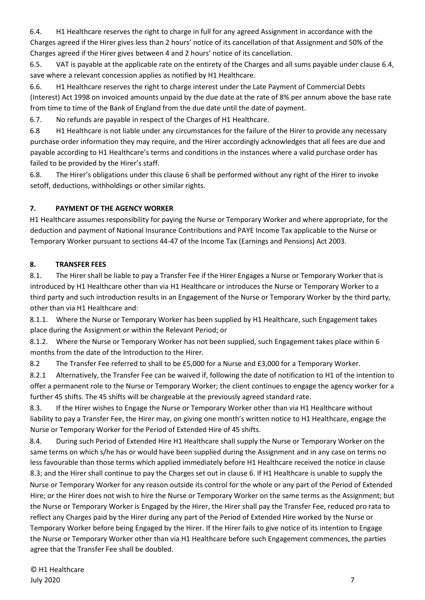6.4. H1 Healthcare reserves the right to charge in full for any agreed Assignment in accordance with the Charges agreed if the Hirer gives less than 2 hours' notice of its cancellation of that Assignment and 50% of the Charges agreed if the Hirer gives between 4 and 2 hours' notice of its cancellation.

6.5. VAT is payable at the applicable rate on the entirety of the Charges and all sums payable under clause 6.4, save where a relevant concession applies as notified by H1 Healthcare.

6.6. H1 Healthcare reserves the right to charge interest under the Late Payment of Commercial Debts (Interest) Act 1998 on invoiced amounts unpaid by the due date at the rate of 8% per annum above the base rate from time to time of the Bank of England from the due date until the date of payment.

6.7. No refunds are payable in respect of the Charges of H1 Healthcare.

6.8 H1 Healthcare is not liable under any circumstances for the failure of the Hirer to provide any necessary purchase order information they may require, and the Hirer accordingly acknowledges that all fees are due and payable according to H1 Healthcare's terms and conditions in the instances where a valid purchase order has failed to be provided by the Hirer's staff.

6.8. The Hirer's obligations under this clause 6 shall be performed without any right of the Hirer to invoke setoff, deductions, withholdings or other similar rights.

## **7. PAYMENT OF THE AGENCY WORKER**

H1 Healthcare assumes responsibility for paying the Nurse or Temporary Worker and where appropriate, for the deduction and payment of National Insurance Contributions and PAYE Income Tax applicable to the Nurse or Temporary Worker pursuant to sections 44-47 of the Income Tax (Earnings and Pensions) Act 2003.

## **8. TRANSFER FEES**

8.1. The Hirer shall be liable to pay a Transfer Fee if the Hirer Engages a Nurse or Temporary Worker that is introduced by H1 Healthcare other than via H1 Healthcare or introduces the Nurse or Temporary Worker to a third party and such introduction results in an Engagement of the Nurse or Temporary Worker by the third party, other than via H1 Healthcare and:

8.1.1. Where the Nurse or Temporary Worker has been supplied by H1 Healthcare, such Engagement takes place during the Assignment or within the Relevant Period; or

8.1.2. Where the Nurse or Temporary Worker has not been supplied, such Engagement takes place within 6 months from the date of the Introduction to the Hirer.

8.2 The Transfer Fee referred to shall to be £5,000 for a Nurse and £3,000 for a Temporary Worker.

8.2.1 Alternatively, the Transfer Fee can be waived if, following the date of notification to H1 of the intention to offer a permanent role to the Nurse or Temporary Worker; the client continues to engage the agency worker for a further 45 shifts. The 45 shifts will be chargeable at the previously agreed standard rate.

8.3. If the Hirer wishes to Engage the Nurse or Temporary Worker other than via H1 Healthcare without liability to pay a Transfer Fee, the Hirer may, on giving one month's written notice to H1 Healthcare, engage the Nurse or Temporary Worker for the Period of Extended Hire of 45 shifts.

8.4. During such Period of Extended Hire H1 Healthcare shall supply the Nurse or Temporary Worker on the same terms on which s/he has or would have been supplied during the Assignment and in any case on terms no less favourable than those terms which applied immediately before H1 Healthcare received the notice in clause 8.3; and the Hirer shall continue to pay the Charges set out in clause 6. If H1 Healthcare is unable to supply the Nurse or Temporary Worker for any reason outside its control for the whole or any part of the Period of Extended Hire; or the Hirer does not wish to hire the Nurse or Temporary Worker on the same terms as the Assignment; but the Nurse or Temporary Worker is Engaged by the Hirer, the Hirer shall pay the Transfer Fee, reduced pro rata to reflect any Charges paid by the Hirer during any part of the Period of Extended Hire worked by the Nurse or Temporary Worker before being Engaged by the Hirer. If the Hirer fails to give notice of its intention to Engage the Nurse or Temporary Worker other than via H1 Healthcare before such Engagement commences, the parties agree that the Transfer Fee shall be doubled.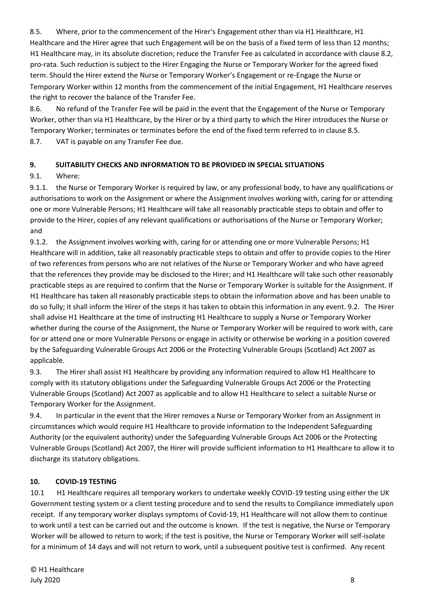8.5. Where, prior to the commencement of the Hirer's Engagement other than via H1 Healthcare, H1 Healthcare and the Hirer agree that such Engagement will be on the basis of a fixed term of less than 12 months; H1 Healthcare may, in its absolute discretion; reduce the Transfer Fee as calculated in accordance with clause 8.2, pro-rata. Such reduction is subject to the Hirer Engaging the Nurse or Temporary Worker for the agreed fixed term. Should the Hirer extend the Nurse or Temporary Worker's Engagement or re-Engage the Nurse or Temporary Worker within 12 months from the commencement of the initial Engagement, H1 Healthcare reserves the right to recover the balance of the Transfer Fee.

8.6. No refund of the Transfer Fee will be paid in the event that the Engagement of the Nurse or Temporary Worker, other than via H1 Healthcare, by the Hirer or by a third party to which the Hirer introduces the Nurse or Temporary Worker; terminates or terminates before the end of the fixed term referred to in clause 8.5.

8.7. VAT is payable on any Transfer Fee due.

## **9. SUITABILITY CHECKS AND INFORMATION TO BE PROVIDED IN SPECIAL SITUATIONS**

9.1. Where:

9.1.1. the Nurse or Temporary Worker is required by law, or any professional body, to have any qualifications or authorisations to work on the Assignment or where the Assignment involves working with, caring for or attending one or more Vulnerable Persons; H1 Healthcare will take all reasonably practicable steps to obtain and offer to provide to the Hirer, copies of any relevant qualifications or authorisations of the Nurse or Temporary Worker; and

9.1.2. the Assignment involves working with, caring for or attending one or more Vulnerable Persons; H1 Healthcare will in addition, take all reasonably practicable steps to obtain and offer to provide copies to the Hirer of two references from persons who are not relatives of the Nurse or Temporary Worker and who have agreed that the references they provide may be disclosed to the Hirer; and H1 Healthcare will take such other reasonably practicable steps as are required to confirm that the Nurse or Temporary Worker is suitable for the Assignment. If H1 Healthcare has taken all reasonably practicable steps to obtain the information above and has been unable to do so fully; it shall inform the Hirer of the steps it has taken to obtain this information in any event. 9.2. The Hirer shall advise H1 Healthcare at the time of instructing H1 Healthcare to supply a Nurse or Temporary Worker whether during the course of the Assignment, the Nurse or Temporary Worker will be required to work with, care for or attend one or more Vulnerable Persons or engage in activity or otherwise be working in a position covered by the Safeguarding Vulnerable Groups Act 2006 or the Protecting Vulnerable Groups (Scotland) Act 2007 as applicable.

9.3. The Hirer shall assist H1 Healthcare by providing any information required to allow H1 Healthcare to comply with its statutory obligations under the Safeguarding Vulnerable Groups Act 2006 or the Protecting Vulnerable Groups (Scotland) Act 2007 as applicable and to allow H1 Healthcare to select a suitable Nurse or Temporary Worker for the Assignment.

9.4. In particular in the event that the Hirer removes a Nurse or Temporary Worker from an Assignment in circumstances which would require H1 Healthcare to provide information to the Independent Safeguarding Authority (or the equivalent authority) under the Safeguarding Vulnerable Groups Act 2006 or the Protecting Vulnerable Groups (Scotland) Act 2007, the Hirer will provide sufficient information to H1 Healthcare to allow it to discharge its statutory obligations.

## **10. COVID-19 TESTING**

10.1 H1 Healthcare requires all temporary workers to undertake weekly COVID-19 testing using either the UK Government testing system or a client testing procedure and to send the results to Compliance immediately upon receipt. If any temporary worker displays symptoms of Covid-19, H1 Healthcare will not allow them to continue to work until a test can be carried out and the outcome is known. If the test is negative, the Nurse or Temporary Worker will be allowed to return to work; if the test is positive, the Nurse or Temporary Worker will self-isolate for a minimum of 14 days and will not return to work, until a subsequent positive test is confirmed. Any recent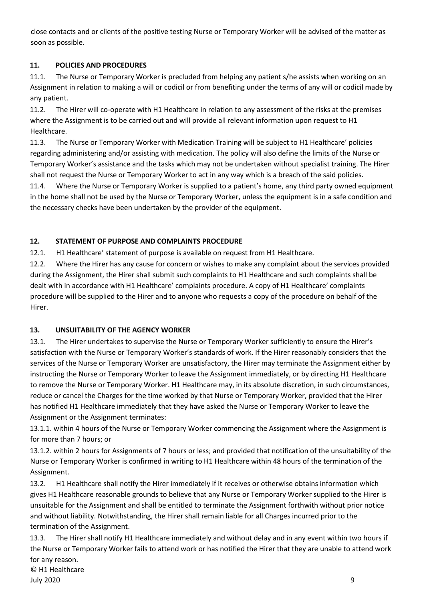close contacts and or clients of the positive testing Nurse or Temporary Worker will be advised of the matter as soon as possible.

## **11. POLICIES AND PROCEDURES**

11.1. The Nurse or Temporary Worker is precluded from helping any patient s/he assists when working on an Assignment in relation to making a will or codicil or from benefiting under the terms of any will or codicil made by any patient.

11.2. The Hirer will co-operate with H1 Healthcare in relation to any assessment of the risks at the premises where the Assignment is to be carried out and will provide all relevant information upon request to H1 Healthcare.

11.3. The Nurse or Temporary Worker with Medication Training will be subject to H1 Healthcare' policies regarding administering and/or assisting with medication. The policy will also define the limits of the Nurse or Temporary Worker's assistance and the tasks which may not be undertaken without specialist training. The Hirer shall not request the Nurse or Temporary Worker to act in any way which is a breach of the said policies.

11.4. Where the Nurse or Temporary Worker is supplied to a patient's home, any third party owned equipment in the home shall not be used by the Nurse or Temporary Worker, unless the equipment is in a safe condition and the necessary checks have been undertaken by the provider of the equipment.

# **12. STATEMENT OF PURPOSE AND COMPLAINTS PROCEDURE**

12.1. H1 Healthcare' statement of purpose is available on request from H1 Healthcare.

12.2. Where the Hirer has any cause for concern or wishes to make any complaint about the services provided during the Assignment, the Hirer shall submit such complaints to H1 Healthcare and such complaints shall be dealt with in accordance with H1 Healthcare' complaints procedure. A copy of H1 Healthcare' complaints procedure will be supplied to the Hirer and to anyone who requests a copy of the procedure on behalf of the Hirer.

## **13. UNSUITABILITY OF THE AGENCY WORKER**

13.1. The Hirer undertakes to supervise the Nurse or Temporary Worker sufficiently to ensure the Hirer's satisfaction with the Nurse or Temporary Worker's standards of work. If the Hirer reasonably considers that the services of the Nurse or Temporary Worker are unsatisfactory, the Hirer may terminate the Assignment either by instructing the Nurse or Temporary Worker to leave the Assignment immediately, or by directing H1 Healthcare to remove the Nurse or Temporary Worker. H1 Healthcare may, in its absolute discretion, in such circumstances, reduce or cancel the Charges for the time worked by that Nurse or Temporary Worker, provided that the Hirer has notified H1 Healthcare immediately that they have asked the Nurse or Temporary Worker to leave the Assignment or the Assignment terminates:

13.1.1. within 4 hours of the Nurse or Temporary Worker commencing the Assignment where the Assignment is for more than 7 hours; or

13.1.2. within 2 hours for Assignments of 7 hours or less; and provided that notification of the unsuitability of the Nurse or Temporary Worker is confirmed in writing to H1 Healthcare within 48 hours of the termination of the Assignment.

13.2. H1 Healthcare shall notify the Hirer immediately if it receives or otherwise obtains information which gives H1 Healthcare reasonable grounds to believe that any Nurse or Temporary Worker supplied to the Hirer is unsuitable for the Assignment and shall be entitled to terminate the Assignment forthwith without prior notice and without liability. Notwithstanding, the Hirer shall remain liable for all Charges incurred prior to the termination of the Assignment.

© H1 Healthcare 13.3. The Hirer shall notify H1 Healthcare immediately and without delay and in any event within two hours if the Nurse or Temporary Worker fails to attend work or has notified the Hirer that they are unable to attend work for any reason.

July 2020 9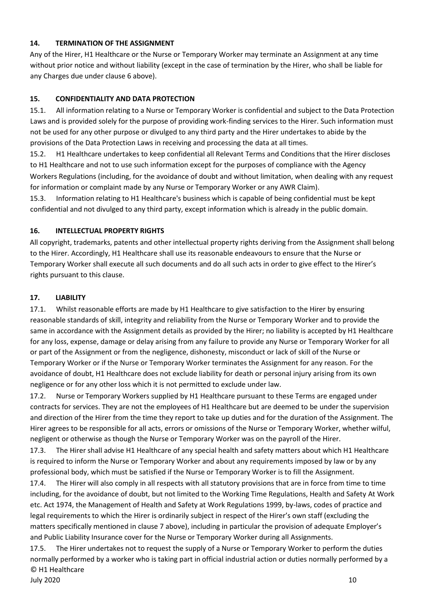#### **14. TERMINATION OF THE ASSIGNMENT**

Any of the Hirer, H1 Healthcare or the Nurse or Temporary Worker may terminate an Assignment at any time without prior notice and without liability (except in the case of termination by the Hirer, who shall be liable for any Charges due under clause 6 above).

#### **15. CONFIDENTIALITY AND DATA PROTECTION**

15.1. All information relating to a Nurse or Temporary Worker is confidential and subject to the Data Protection Laws and is provided solely for the purpose of providing work-finding services to the Hirer. Such information must not be used for any other purpose or divulged to any third party and the Hirer undertakes to abide by the provisions of the Data Protection Laws in receiving and processing the data at all times.

15.2. H1 Healthcare undertakes to keep confidential all Relevant Terms and Conditions that the Hirer discloses to H1 Healthcare and not to use such information except for the purposes of compliance with the Agency Workers Regulations (including, for the avoidance of doubt and without limitation, when dealing with any request for information or complaint made by any Nurse or Temporary Worker or any AWR Claim).

15.3. Information relating to H1 Healthcare's business which is capable of being confidential must be kept confidential and not divulged to any third party, except information which is already in the public domain.

#### **16. INTELLECTUAL PROPERTY RIGHTS**

All copyright, trademarks, patents and other intellectual property rights deriving from the Assignment shall belong to the Hirer. Accordingly, H1 Healthcare shall use its reasonable endeavours to ensure that the Nurse or Temporary Worker shall execute all such documents and do all such acts in order to give effect to the Hirer's rights pursuant to this clause.

#### **17. LIABILITY**

17.1. Whilst reasonable efforts are made by H1 Healthcare to give satisfaction to the Hirer by ensuring reasonable standards of skill, integrity and reliability from the Nurse or Temporary Worker and to provide the same in accordance with the Assignment details as provided by the Hirer; no liability is accepted by H1 Healthcare for any loss, expense, damage or delay arising from any failure to provide any Nurse or Temporary Worker for all or part of the Assignment or from the negligence, dishonesty, misconduct or lack of skill of the Nurse or Temporary Worker or if the Nurse or Temporary Worker terminates the Assignment for any reason. For the avoidance of doubt, H1 Healthcare does not exclude liability for death or personal injury arising from its own negligence or for any other loss which it is not permitted to exclude under law.

17.2. Nurse or Temporary Workers supplied by H1 Healthcare pursuant to these Terms are engaged under contracts for services. They are not the employees of H1 Healthcare but are deemed to be under the supervision and direction of the Hirer from the time they report to take up duties and for the duration of the Assignment. The Hirer agrees to be responsible for all acts, errors or omissions of the Nurse or Temporary Worker, whether wilful, negligent or otherwise as though the Nurse or Temporary Worker was on the payroll of the Hirer.

17.3. The Hirer shall advise H1 Healthcare of any special health and safety matters about which H1 Healthcare is required to inform the Nurse or Temporary Worker and about any requirements imposed by law or by any professional body, which must be satisfied if the Nurse or Temporary Worker is to fill the Assignment.

17.4. The Hirer will also comply in all respects with all statutory provisions that are in force from time to time including, for the avoidance of doubt, but not limited to the Working Time Regulations, Health and Safety At Work etc. Act 1974, the Management of Health and Safety at Work Regulations 1999, by-laws, codes of practice and legal requirements to which the Hirer is ordinarily subject in respect of the Hirer's own staff (excluding the matters specifically mentioned in clause 7 above), including in particular the provision of adequate Employer's and Public Liability Insurance cover for the Nurse or Temporary Worker during all Assignments.

© H1 Healthcare July 2020 10 17.5. The Hirer undertakes not to request the supply of a Nurse or Temporary Worker to perform the duties normally performed by a worker who is taking part in official industrial action or duties normally performed by a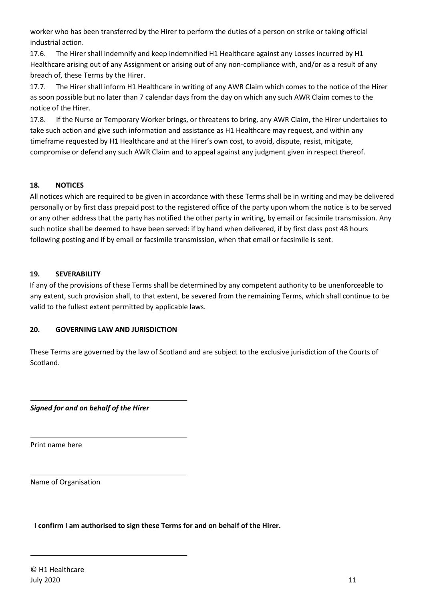worker who has been transferred by the Hirer to perform the duties of a person on strike or taking official industrial action.

17.6. The Hirer shall indemnify and keep indemnified H1 Healthcare against any Losses incurred by H1 Healthcare arising out of any Assignment or arising out of any non-compliance with, and/or as a result of any breach of, these Terms by the Hirer.

17.7. The Hirer shall inform H1 Healthcare in writing of any AWR Claim which comes to the notice of the Hirer as soon possible but no later than 7 calendar days from the day on which any such AWR Claim comes to the notice of the Hirer.

17.8. If the Nurse or Temporary Worker brings, or threatens to bring, any AWR Claim, the Hirer undertakes to take such action and give such information and assistance as H1 Healthcare may request, and within any timeframe requested by H1 Healthcare and at the Hirer's own cost, to avoid, dispute, resist, mitigate, compromise or defend any such AWR Claim and to appeal against any judgment given in respect thereof.

## **18. NOTICES**

All notices which are required to be given in accordance with these Terms shall be in writing and may be delivered personally or by first class prepaid post to the registered office of the party upon whom the notice is to be served or any other address that the party has notified the other party in writing, by email or facsimile transmission. Any such notice shall be deemed to have been served: if by hand when delivered, if by first class post 48 hours following posting and if by email or facsimile transmission, when that email or facsimile is sent.

## **19. SEVERABILITY**

If any of the provisions of these Terms shall be determined by any competent authority to be unenforceable to any extent, such provision shall, to that extent, be severed from the remaining Terms, which shall continue to be valid to the fullest extent permitted by applicable laws.

## **20. GOVERNING LAW AND JURISDICTION**

These Terms are governed by the law of Scotland and are subject to the exclusive jurisdiction of the Courts of Scotland.

*Signed for and on behalf of the Hirer* 

Print name here

Name of Organisation

**I confirm I am authorised to sign these Terms for and on behalf of the Hirer.**